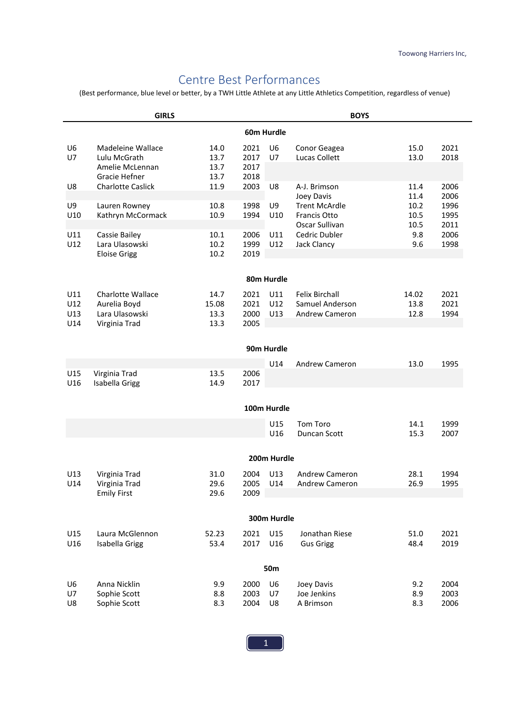# Centre Best Performances

(Best performance, blue level or better, by a TWH Little Athlete at any Little Athletics Competition, regardless of venue)

|                                   | <b>GIRLS</b>                                                          |                              | <b>BOYS</b>                  |                      |                                                                   |                       |                      |
|-----------------------------------|-----------------------------------------------------------------------|------------------------------|------------------------------|----------------------|-------------------------------------------------------------------|-----------------------|----------------------|
|                                   |                                                                       |                              |                              | 60m Hurdle           |                                                                   |                       |                      |
| U <sub>6</sub><br>U7              | Madeleine Wallace<br>Lulu McGrath<br>Amelie McLennan<br>Gracie Hefner | 14.0<br>13.7<br>13.7<br>13.7 | 2021<br>2017<br>2017<br>2018 | U <sub>6</sub><br>U7 | Conor Geagea<br>Lucas Collett                                     | 15.0<br>13.0          | 2021<br>2018         |
| U8                                | <b>Charlotte Caslick</b>                                              | 11.9                         | 2003                         | U8                   | A-J. Brimson<br>Joey Davis                                        | 11.4<br>11.4          | 2006<br>2006         |
| U9<br>U10                         | Lauren Rowney<br>Kathryn McCormack                                    | 10.8<br>10.9                 | 1998<br>1994                 | U9<br>U10            | <b>Trent McArdle</b><br>Francis Otto<br>Oscar Sullivan            | 10.2<br>10.5<br>10.5  | 1996<br>1995<br>2011 |
| U11<br>U12                        | Cassie Bailey<br>Lara Ulasowski<br><b>Eloise Grigg</b>                | 10.1<br>10.2<br>10.2         | 2006<br>1999<br>2019         | U11<br>U12           | Cedric Dubler<br>Jack Clancy                                      | 9.8<br>9.6            | 2006<br>1998         |
|                                   |                                                                       |                              |                              | 80m Hurdle           |                                                                   |                       |                      |
|                                   |                                                                       |                              |                              |                      |                                                                   |                       |                      |
| U11<br>U12<br>U13                 | <b>Charlotte Wallace</b><br>Aurelia Boyd<br>Lara Ulasowski            | 14.7<br>15.08<br>13.3        | 2021<br>2021<br>2000         | U11<br>U12<br>U13    | <b>Felix Birchall</b><br>Samuel Anderson<br><b>Andrew Cameron</b> | 14.02<br>13.8<br>12.8 | 2021<br>2021<br>1994 |
| U14                               | Virginia Trad                                                         | 13.3                         | 2005                         |                      |                                                                   |                       |                      |
|                                   |                                                                       |                              |                              | 90m Hurdle           |                                                                   |                       |                      |
|                                   |                                                                       |                              |                              | U14                  | <b>Andrew Cameron</b>                                             | 13.0                  | 1995                 |
| U15<br>U16                        | Virginia Trad<br>Isabella Grigg                                       | 13.5<br>14.9                 | 2006<br>2017                 |                      |                                                                   |                       |                      |
|                                   |                                                                       |                              |                              | 100m Hurdle          |                                                                   |                       |                      |
|                                   |                                                                       |                              |                              | U15<br>U16           | Tom Toro<br>Duncan Scott                                          | 14.1<br>15.3          | 1999<br>2007         |
|                                   |                                                                       |                              |                              | 200m Hurdle          |                                                                   |                       |                      |
| U13<br>U14                        | Virginia Trad<br>Virginia Trad<br><b>Emily First</b>                  | 31.0<br>29.6<br>29.6         | 2004<br>2005<br>2009         | U13<br>U14           | <b>Andrew Cameron</b><br><b>Andrew Cameron</b>                    | 28.1<br>26.9          | 1994<br>1995         |
|                                   |                                                                       |                              |                              |                      |                                                                   |                       |                      |
|                                   |                                                                       |                              |                              | 300m Hurdle          |                                                                   |                       |                      |
| U15<br>U16                        | Laura McGlennon<br>Isabella Grigg                                     | 52.23<br>53.4                | 2021<br>2017                 | U15<br>U16           | Jonathan Riese<br><b>Gus Grigg</b>                                | 51.0<br>48.4          | 2021<br>2019         |
|                                   |                                                                       |                              |                              | <b>50m</b>           |                                                                   |                       |                      |
| U <sub>6</sub><br><b>U7</b><br>U8 | Anna Nicklin<br>Sophie Scott<br>Sophie Scott                          | 9.9<br>8.8<br>8.3            | 2000<br>2003<br>2004         | U6<br>U7<br>U8       | Joey Davis<br>Joe Jenkins<br>A Brimson                            | 9.2<br>8.9<br>8.3     | 2004<br>2003<br>2006 |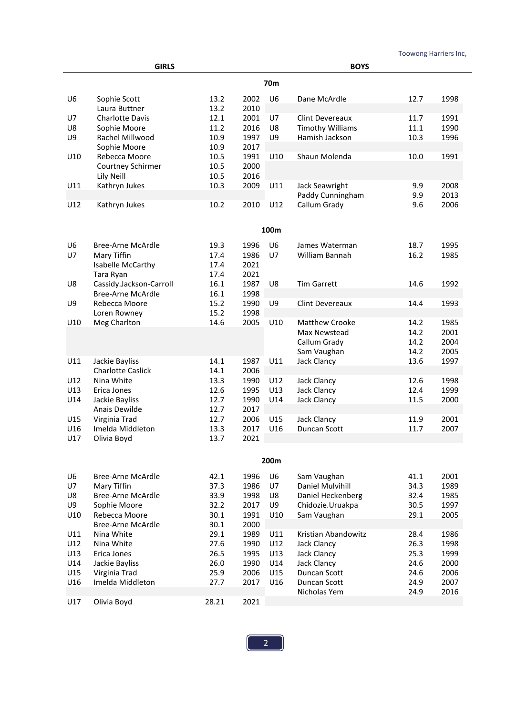|                                        | <b>GIRLS</b>                                                                                                               |                                                      |                                                      |                                        | <b>BOYS</b>                                                                                                      |                                                      |                                                      |
|----------------------------------------|----------------------------------------------------------------------------------------------------------------------------|------------------------------------------------------|------------------------------------------------------|----------------------------------------|------------------------------------------------------------------------------------------------------------------|------------------------------------------------------|------------------------------------------------------|
|                                        |                                                                                                                            |                                                      |                                                      | 70m                                    |                                                                                                                  |                                                      |                                                      |
| U6                                     | Sophie Scott<br>Laura Buttner                                                                                              | 13.2<br>13.2                                         | 2002<br>2010                                         | U <sub>6</sub>                         | Dane McArdle                                                                                                     | 12.7                                                 | 1998                                                 |
| U7<br>U8<br>U9                         | <b>Charlotte Davis</b><br>Sophie Moore<br>Rachel Millwood                                                                  | 12.1<br>11.2<br>10.9<br>10.9                         | 2001<br>2016<br>1997<br>2017                         | U7<br>U8<br>U9                         | <b>Clint Devereaux</b><br><b>Timothy Williams</b><br>Hamish Jackson                                              | 11.7<br>11.1<br>10.3                                 | 1991<br>1990<br>1996                                 |
| U10                                    | Sophie Moore<br>Rebecca Moore<br>Courtney Schirmer<br>Lily Neill                                                           | 10.5<br>10.5<br>10.5                                 | 1991<br>2000<br>2016                                 | U10                                    | Shaun Molenda                                                                                                    | 10.0                                                 | 1991                                                 |
| U11<br>U12                             | Kathryn Jukes<br>Kathryn Jukes                                                                                             | 10.3<br>10.2                                         | 2009<br>2010                                         | U11<br>U12                             | Jack Seawright<br>Paddy Cunningham<br>Callum Grady                                                               | 9.9<br>9.9<br>9.6                                    | 2008<br>2013<br>2006                                 |
|                                        |                                                                                                                            |                                                      |                                                      |                                        |                                                                                                                  |                                                      |                                                      |
|                                        |                                                                                                                            |                                                      |                                                      | 100m                                   |                                                                                                                  |                                                      |                                                      |
| U6<br>U7                               | <b>Bree-Arne McArdle</b><br>Mary Tiffin<br>Isabelle McCarthy<br>Tara Ryan                                                  | 19.3<br>17.4<br>17.4<br>17.4                         | 1996<br>1986<br>2021<br>2021                         | U <sub>6</sub><br>U7                   | James Waterman<br>William Bannah                                                                                 | 18.7<br>16.2                                         | 1995<br>1985                                         |
| U8                                     | Cassidy.Jackson-Carroll<br><b>Bree-Arne McArdle</b>                                                                        | 16.1<br>16.1                                         | 1987<br>1998                                         | U8                                     | <b>Tim Garrett</b>                                                                                               | 14.6                                                 | 1992                                                 |
| U9                                     | Rebecca Moore<br>Loren Rowney                                                                                              | 15.2<br>15.2                                         | 1990<br>1998                                         | U9                                     | <b>Clint Devereaux</b>                                                                                           | 14.4                                                 | 1993                                                 |
| U10                                    | Meg Charlton                                                                                                               | 14.6                                                 | 2005                                                 | U10                                    | <b>Matthew Crooke</b><br>Max Newstead<br>Callum Grady<br>Sam Vaughan                                             | 14.2<br>14.2<br>14.2<br>14.2                         | 1985<br>2001<br>2004<br>2005                         |
| U11                                    | Jackie Bayliss<br><b>Charlotte Caslick</b>                                                                                 | 14.1<br>14.1                                         | 1987<br>2006                                         | U11                                    | Jack Clancy                                                                                                      | 13.6                                                 | 1997                                                 |
| U12<br>U13<br>U14                      | Nina White<br>Erica Jones<br>Jackie Bayliss<br>Anais Dewilde                                                               | 13.3<br>12.6<br>12.7<br>12.7                         | 1990<br>1995<br>1990<br>2017                         | U12<br>U13<br>U14                      | Jack Clancy<br>Jack Clancy<br>Jack Clancy                                                                        | 12.6<br>12.4<br>11.5                                 | 1998<br>1999<br>2000                                 |
| U15<br>U16<br>U17                      | Virginia Trad<br>Imelda Middleton<br>Olivia Boyd                                                                           | 12.7<br>13.3<br>13.7                                 | 2006<br>2017<br>2021                                 | U15<br>U16                             | Jack Clancy<br>Duncan Scott                                                                                      | 11.9<br>11.7                                         | 2001<br>2007                                         |
|                                        |                                                                                                                            |                                                      |                                                      |                                        |                                                                                                                  |                                                      |                                                      |
|                                        |                                                                                                                            |                                                      |                                                      | 200m                                   |                                                                                                                  |                                                      |                                                      |
| U6<br>U7<br>U8<br>U9<br>U10            | <b>Bree-Arne McArdle</b><br>Mary Tiffin<br><b>Bree-Arne McArdle</b><br>Sophie Moore<br>Rebecca Moore                       | 42.1<br>37.3<br>33.9<br>32.2<br>30.1                 | 1996<br>1986<br>1998<br>2017<br>1991                 | U6<br><b>U7</b><br>U8<br>U9<br>U10     | Sam Vaughan<br>Daniel Mulvihill<br>Daniel Heckenberg<br>Chidozie.Uruakpa<br>Sam Vaughan                          | 41.1<br>34.3<br>32.4<br>30.5<br>29.1                 | 2001<br>1989<br>1985<br>1997<br>2005                 |
| U11<br>U12<br>U13<br>U14<br>U15<br>U16 | <b>Bree-Arne McArdle</b><br>Nina White<br>Nina White<br>Erica Jones<br>Jackie Bayliss<br>Virginia Trad<br>Imelda Middleton | 30.1<br>29.1<br>27.6<br>26.5<br>26.0<br>25.9<br>27.7 | 2000<br>1989<br>1990<br>1995<br>1990<br>2006<br>2017 | U11<br>U12<br>U13<br>U14<br>U15<br>U16 | Kristian Abandowitz<br>Jack Clancy<br>Jack Clancy<br>Jack Clancy<br>Duncan Scott<br>Duncan Scott<br>Nicholas Yem | 28.4<br>26.3<br>25.3<br>24.6<br>24.6<br>24.9<br>24.9 | 1986<br>1998<br>1999<br>2000<br>2006<br>2007<br>2016 |
| U17                                    | Olivia Boyd                                                                                                                | 28.21                                                | 2021                                                 |                                        |                                                                                                                  |                                                      |                                                      |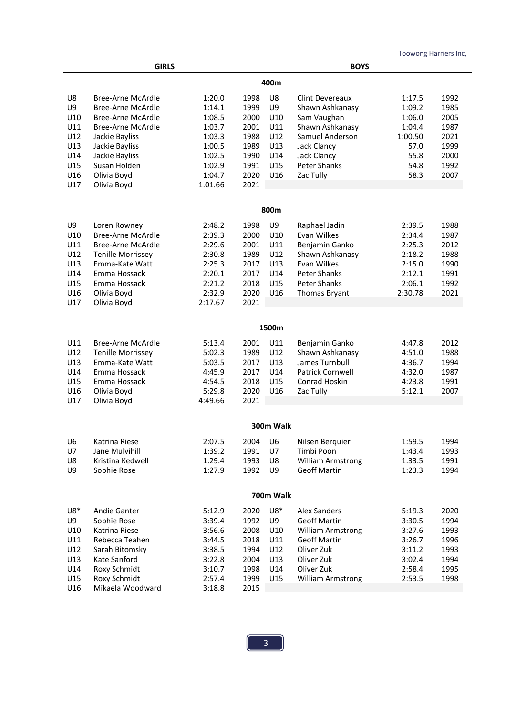|                                                                  | <b>GIRLS</b>                                                                                                                                                                                       |                                                                                                   | <b>BOYS</b>                                                                  |                                                           |                                                                                                                                                              |                                                                                 |                                                                      |
|------------------------------------------------------------------|----------------------------------------------------------------------------------------------------------------------------------------------------------------------------------------------------|---------------------------------------------------------------------------------------------------|------------------------------------------------------------------------------|-----------------------------------------------------------|--------------------------------------------------------------------------------------------------------------------------------------------------------------|---------------------------------------------------------------------------------|----------------------------------------------------------------------|
|                                                                  |                                                                                                                                                                                                    |                                                                                                   |                                                                              | 400m                                                      |                                                                                                                                                              |                                                                                 |                                                                      |
| U8<br>U9<br>U10<br>U11<br>U12<br>U13<br>U14<br>U15<br>U16<br>U17 | <b>Bree-Arne McArdle</b><br>Bree-Arne McArdle<br><b>Bree-Arne McArdle</b><br>Bree-Arne McArdle<br>Jackie Bayliss<br>Jackie Bayliss<br>Jackie Bayliss<br>Susan Holden<br>Olivia Boyd<br>Olivia Boyd | 1:20.0<br>1:14.1<br>1:08.5<br>1:03.7<br>1:03.3<br>1:00.5<br>1:02.5<br>1:02.9<br>1:04.7<br>1:01.66 | 1998<br>1999<br>2000<br>2001<br>1988<br>1989<br>1990<br>1991<br>2020<br>2021 | U8<br>U9<br>U10<br>U11<br>U12<br>U13<br>U14<br>U15<br>U16 | <b>Clint Devereaux</b><br>Shawn Ashkanasy<br>Sam Vaughan<br>Shawn Ashkanasy<br>Samuel Anderson<br>Jack Clancy<br>Jack Clancy<br>Peter Shanks<br>Zac Tully    | 1:17.5<br>1:09.2<br>1:06.0<br>1:04.4<br>1:00.50<br>57.0<br>55.8<br>54.8<br>58.3 | 1992<br>1985<br>2005<br>1987<br>2021<br>1999<br>2000<br>1992<br>2007 |
|                                                                  |                                                                                                                                                                                                    |                                                                                                   |                                                                              |                                                           |                                                                                                                                                              |                                                                                 |                                                                      |
|                                                                  |                                                                                                                                                                                                    |                                                                                                   |                                                                              | 800m                                                      |                                                                                                                                                              |                                                                                 |                                                                      |
| U9<br>U10<br>U11<br>U12<br>U13<br>U14<br>U15<br>U16              | Loren Rowney<br><b>Bree-Arne McArdle</b><br><b>Bree-Arne McArdle</b><br><b>Tenille Morrissey</b><br>Emma-Kate Watt<br>Emma Hossack<br>Emma Hossack<br>Olivia Boyd                                  | 2:48.2<br>2:39.3<br>2:29.6<br>2:30.8<br>2:25.3<br>2:20.1<br>2:21.2<br>2:32.9                      | 1998<br>2000<br>2001<br>1989<br>2017<br>2017<br>2018<br>2020                 | U9<br>U10<br>U11<br>U12<br>U13<br>U14<br>U15<br>U16       | Raphael Jadin<br>Evan Wilkes<br>Benjamin Ganko<br>Shawn Ashkanasy<br>Evan Wilkes<br><b>Peter Shanks</b><br><b>Peter Shanks</b><br><b>Thomas Bryant</b>       | 2:39.5<br>2:34.4<br>2:25.3<br>2:18.2<br>2:15.0<br>2:12.1<br>2:06.1<br>2:30.78   | 1988<br>1987<br>2012<br>1988<br>1990<br>1991<br>1992<br>2021         |
| U17                                                              | Olivia Boyd                                                                                                                                                                                        | 2:17.67                                                                                           | 2021                                                                         |                                                           |                                                                                                                                                              |                                                                                 |                                                                      |
|                                                                  |                                                                                                                                                                                                    |                                                                                                   |                                                                              | 1500m                                                     |                                                                                                                                                              |                                                                                 |                                                                      |
| U11<br>U12<br>U13<br>U14<br>U15<br>U16<br>U17                    | Bree-Arne McArdle<br><b>Tenille Morrissey</b><br>Emma-Kate Watt<br>Emma Hossack<br>Emma Hossack<br>Olivia Boyd<br>Olivia Boyd                                                                      | 5:13.4<br>5:02.3<br>5:03.5<br>4:45.9<br>4:54.5<br>5:29.8<br>4:49.66                               | 2001<br>1989<br>2017<br>2017<br>2018<br>2020<br>2021                         | U11<br>U12<br>U13<br>U14<br>U15<br>U16                    | Benjamin Ganko<br>Shawn Ashkanasy<br>James Turnbull<br><b>Patrick Cornwell</b><br>Conrad Hoskin<br>Zac Tully                                                 | 4:47.8<br>4:51.0<br>4:36.7<br>4:32.0<br>4:23.8<br>5:12.1                        | 2012<br>1988<br>1994<br>1987<br>1991<br>2007                         |
|                                                                  |                                                                                                                                                                                                    |                                                                                                   |                                                                              |                                                           |                                                                                                                                                              |                                                                                 |                                                                      |
|                                                                  |                                                                                                                                                                                                    |                                                                                                   |                                                                              | 300m Walk                                                 |                                                                                                                                                              |                                                                                 |                                                                      |
| U6<br>U7<br>U8<br>U9                                             | Katrina Riese<br>Jane Mulvihill<br>Kristina Kedwell<br>Sophie Rose                                                                                                                                 | 2:07.5<br>1:39.2<br>1:29.4<br>1:27.9                                                              | 2004<br>1991<br>1993<br>1992                                                 | U6<br>U7<br>U8<br>U9                                      | Nilsen Berquier<br>Timbi Poon<br>William Armstrong<br><b>Geoff Martin</b>                                                                                    | 1:59.5<br>1:43.4<br>1:33.5<br>1:23.3                                            | 1994<br>1993<br>1991<br>1994                                         |
|                                                                  |                                                                                                                                                                                                    |                                                                                                   |                                                                              | 700m Walk                                                 |                                                                                                                                                              |                                                                                 |                                                                      |
| $U8*$<br>U9<br>U10<br>U11<br>U12<br>U13<br>U14<br>U15<br>U16     | Andie Ganter<br>Sophie Rose<br>Katrina Riese<br>Rebecca Teahen<br>Sarah Bitomsky<br>Kate Sanford<br>Roxy Schmidt<br>Roxy Schmidt<br>Mikaela Woodward                                               | 5:12.9<br>3:39.4<br>3:56.6<br>3:44.5<br>3:38.5<br>3:22.8<br>3:10.7<br>2:57.4<br>3:18.8            | 2020<br>1992<br>2008<br>2018<br>1994<br>2004<br>1998<br>1999<br>2015         | U8*<br>U9<br>U10<br>U11<br>U12<br>U13<br>U14<br>U15       | <b>Alex Sanders</b><br><b>Geoff Martin</b><br><b>William Armstrong</b><br><b>Geoff Martin</b><br>Oliver Zuk<br>Oliver Zuk<br>Oliver Zuk<br>William Armstrong | 5:19.3<br>3:30.5<br>3:27.6<br>3:26.7<br>3:11.2<br>3:02.4<br>2:58.4<br>2:53.5    | 2020<br>1994<br>1993<br>1996<br>1993<br>1994<br>1995<br>1998         |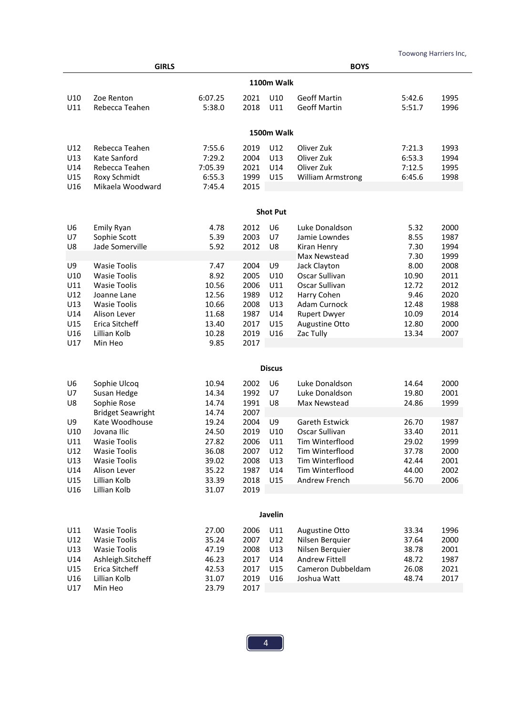L

|                                                     | <b>GIRLS</b>                                                                                                                                       |                                                                      |                                                              |                                              | <b>BOYS</b>                                                                                                                   |                                                             |                                                      |  |  |  |
|-----------------------------------------------------|----------------------------------------------------------------------------------------------------------------------------------------------------|----------------------------------------------------------------------|--------------------------------------------------------------|----------------------------------------------|-------------------------------------------------------------------------------------------------------------------------------|-------------------------------------------------------------|------------------------------------------------------|--|--|--|
|                                                     | <b>1100m Walk</b>                                                                                                                                  |                                                                      |                                                              |                                              |                                                                                                                               |                                                             |                                                      |  |  |  |
| U10<br>U11                                          | Zoe Renton<br>Rebecca Teahen                                                                                                                       | 6:07.25<br>5:38.0                                                    | 2021<br>2018                                                 | U10<br>U11                                   | <b>Geoff Martin</b><br><b>Geoff Martin</b>                                                                                    | 5:42.6<br>5:51.7                                            | 1995<br>1996                                         |  |  |  |
|                                                     |                                                                                                                                                    |                                                                      |                                                              | 1500m Walk                                   |                                                                                                                               |                                                             |                                                      |  |  |  |
| U12<br>U13<br>U14<br>U15<br>U16                     | Rebecca Teahen<br>Kate Sanford<br>Rebecca Teahen<br>Roxy Schmidt<br>Mikaela Woodward                                                               | 7:55.6<br>7:29.2<br>7:05.39<br>6:55.3<br>7:45.4                      | 2019<br>2004<br>2021<br>1999<br>2015                         | U12<br>U13<br>U14<br>U15                     | Oliver Zuk<br>Oliver Zuk<br>Oliver Zuk<br><b>William Armstrong</b>                                                            | 7:21.3<br>6:53.3<br>7:12.5<br>6:45.6                        | 1993<br>1994<br>1995<br>1998                         |  |  |  |
|                                                     |                                                                                                                                                    |                                                                      |                                                              | <b>Shot Put</b>                              |                                                                                                                               |                                                             |                                                      |  |  |  |
| U <sub>6</sub><br>U7<br>U8                          | <b>Emily Ryan</b><br>Sophie Scott<br>Jade Somerville                                                                                               | 4.78<br>5.39<br>5.92                                                 | 2012<br>2003<br>2012                                         | U <sub>6</sub><br>U7<br>U8                   | Luke Donaldson<br>Jamie Lowndes<br>Kiran Henry<br>Max Newstead                                                                | 5.32<br>8.55<br>7.30<br>7.30                                | 2000<br>1987<br>1994<br>1999                         |  |  |  |
| U9<br>U10<br>U11<br>U12<br>U13<br>U14<br>U15        | <b>Wasie Toolis</b><br><b>Wasie Toolis</b><br><b>Wasie Toolis</b><br>Joanne Lane<br><b>Wasie Toolis</b><br>Alison Lever<br>Erica Sitcheff          | 7.47<br>8.92<br>10.56<br>12.56<br>10.66<br>11.68<br>13.40            | 2004<br>2005<br>2006<br>1989<br>2008<br>1987<br>2017         | U9<br>U10<br>U11<br>U12<br>U13<br>U14<br>U15 | Jack Clayton<br>Oscar Sullivan<br>Oscar Sullivan<br>Harry Cohen<br>Adam Curnock<br><b>Rupert Dwyer</b><br>Augustine Otto      | 8.00<br>10.90<br>12.72<br>9.46<br>12.48<br>10.09<br>12.80   | 2008<br>2011<br>2012<br>2020<br>1988<br>2014<br>2000 |  |  |  |
| U16<br>U17                                          | Lillian Kolb<br>Min Heo                                                                                                                            | 10.28<br>9.85                                                        | 2019<br>2017                                                 | U16                                          | Zac Tully                                                                                                                     | 13.34                                                       | 2007                                                 |  |  |  |
|                                                     |                                                                                                                                                    |                                                                      |                                                              | <b>Discus</b>                                |                                                                                                                               |                                                             |                                                      |  |  |  |
| U6<br>U7<br>U8                                      | Sophie Ulcoq<br>Susan Hedge<br>Sophie Rose<br><b>Bridget Seawright</b>                                                                             | 10.94<br>14.34<br>14.74<br>14.74                                     | 2002<br>1992<br>1991<br>2007                                 | U6<br>U7<br>U8                               | Luke Donaldson<br>Luke Donaldson<br>Max Newstead                                                                              | 14.64<br>19.80<br>24.86                                     | 2000<br>2001<br>1999                                 |  |  |  |
| U9<br>U10<br>U11<br>U12<br>U13<br>U14<br>U15<br>U16 | Kate Woodhouse<br>Jovana Ilic<br><b>Wasie Toolis</b><br><b>Wasie Toolis</b><br><b>Wasie Toolis</b><br>Alison Lever<br>Lillian Kolb<br>Lillian Kolb | 19.24<br>24.50<br>27.82<br>36.08<br>39.02<br>35.22<br>33.39<br>31.07 | 2004<br>2019<br>2006<br>2007<br>2008<br>1987<br>2018<br>2019 | U9<br>U10<br>U11<br>U12<br>U13<br>U14<br>U15 | Gareth Estwick<br>Oscar Sullivan<br>Tim Winterflood<br>Tim Winterflood<br>Tim Winterflood<br>Tim Winterflood<br>Andrew French | 26.70<br>33.40<br>29.02<br>37.78<br>42.44<br>44.00<br>56.70 | 1987<br>2011<br>1999<br>2000<br>2001<br>2002<br>2006 |  |  |  |
|                                                     |                                                                                                                                                    |                                                                      |                                                              | Javelin                                      |                                                                                                                               |                                                             |                                                      |  |  |  |
| U11<br>U12<br>U13<br>U14<br>U15<br>U16<br>U17       | <b>Wasie Toolis</b><br><b>Wasie Toolis</b><br><b>Wasie Toolis</b><br>Ashleigh.Sitcheff<br>Erica Sitcheff<br>Lillian Kolb<br>Min Heo                | 27.00<br>35.24<br>47.19<br>46.23<br>42.53<br>31.07<br>23.79          | 2006<br>2007<br>2008<br>2017<br>2017<br>2019<br>2017         | U11<br>U12<br>U13<br>U14<br>U15<br>U16       | Augustine Otto<br>Nilsen Berquier<br>Nilsen Berquier<br>Andrew Fittell<br>Cameron Dubbeldam<br>Joshua Watt                    | 33.34<br>37.64<br>38.78<br>48.72<br>26.08<br>48.74          | 1996<br>2000<br>2001<br>1987<br>2021<br>2017         |  |  |  |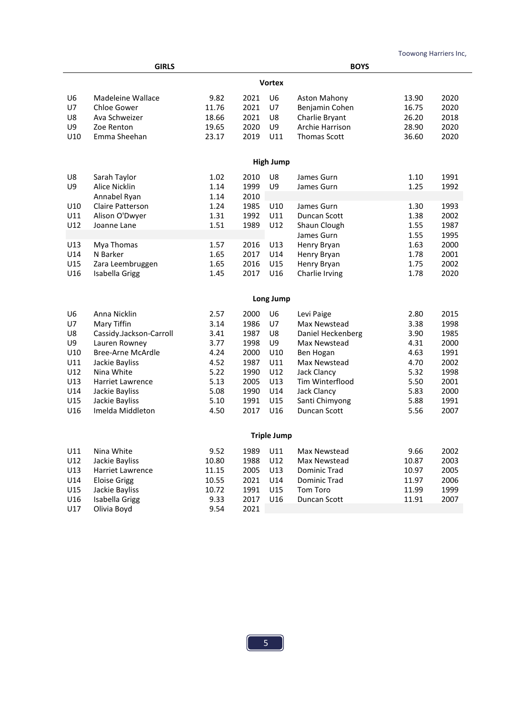L

|                | <b>GIRLS</b>                 |       | <b>BOYS</b>  |                    |                     |       |      |
|----------------|------------------------------|-------|--------------|--------------------|---------------------|-------|------|
|                |                              |       |              | <b>Vortex</b>      |                     |       |      |
| U <sub>6</sub> | Madeleine Wallace            | 9.82  | 2021         | U <sub>6</sub>     | Aston Mahony        | 13.90 | 2020 |
| U7             | Chloe Gower                  | 11.76 | 2021         | U7                 | Benjamin Cohen      | 16.75 | 2020 |
| U8             | Ava Schweizer                | 18.66 | 2021         | U8                 | Charlie Bryant      | 26.20 | 2018 |
| U9             | Zoe Renton                   | 19.65 | 2020         | U9                 | Archie Harrison     | 28.90 | 2020 |
| U10            | Emma Sheehan                 | 23.17 | 2019         | U11                | <b>Thomas Scott</b> | 36.60 | 2020 |
|                |                              |       |              |                    |                     |       |      |
|                |                              |       |              | <b>High Jump</b>   |                     |       |      |
| U8             | Sarah Taylor                 | 1.02  | 2010         | U8                 | James Gurn          | 1.10  | 1991 |
| U9             | Alice Nicklin                | 1.14  | 1999         | U9                 | James Gurn          | 1.25  | 1992 |
|                | Annabel Ryan                 | 1.14  | 2010         |                    |                     |       |      |
| U10            | Claire Patterson             | 1.24  | 1985         | U10                | James Gurn          | 1.30  | 1993 |
| U11            | Alison O'Dwyer               | 1.31  | 1992         | U11                | Duncan Scott        | 1.38  | 2002 |
| U12            | Joanne Lane                  | 1.51  | 1989         | U12                | Shaun Clough        | 1.55  | 1987 |
|                |                              |       |              |                    | James Gurn          | 1.55  | 1995 |
| U13            | Mya Thomas                   | 1.57  | 2016         | U13                | Henry Bryan         | 1.63  | 2000 |
| U14            | N Barker                     | 1.65  | 2017         | U14                | Henry Bryan         | 1.78  | 2001 |
| U15            | Zara Leembruggen             | 1.65  | 2016         | U15                | Henry Bryan         | 1.75  | 2002 |
| U16            | Isabella Grigg               | 1.45  | 2017         | U16                | Charlie Irving      | 1.78  | 2020 |
|                |                              |       |              |                    |                     |       |      |
|                |                              |       |              | Long Jump          |                     |       |      |
| U6             | Anna Nicklin                 | 2.57  | 2000         | U <sub>6</sub>     | Levi Paige          | 2.80  | 2015 |
| U7             | Mary Tiffin                  | 3.14  | 1986         | U7                 | Max Newstead        | 3.38  | 1998 |
| U8             | Cassidy.Jackson-Carroll      | 3.41  | 1987         | U8                 | Daniel Heckenberg   | 3.90  | 1985 |
| U9             | Lauren Rowney                | 3.77  | 1998         | U9                 | Max Newstead        | 4.31  | 2000 |
| U10            | <b>Bree-Arne McArdle</b>     | 4.24  | 2000         | U10                | Ben Hogan           | 4.63  | 1991 |
| U11            | Jackie Bayliss               | 4.52  | 1987         | U11                | Max Newstead        | 4.70  | 2002 |
| U12            | Nina White                   | 5.22  | 1990         | U12                | Jack Clancy         | 5.32  | 1998 |
| U13            | Harriet Lawrence             | 5.13  | 2005         | U13                | Tim Winterflood     | 5.50  | 2001 |
| U14            | Jackie Bayliss               | 5.08  | 1990         | U14                | Jack Clancy         | 5.83  | 2000 |
| U15            | Jackie Bayliss               | 5.10  | 1991         | U15                | Santi Chimyong      | 5.88  | 1991 |
| U16            | Imelda Middleton             | 4.50  | 2017         | U16                | Duncan Scott        | 5.56  | 2007 |
|                |                              |       |              |                    |                     |       |      |
|                |                              |       |              | <b>Triple Jump</b> |                     |       |      |
| U11            | Nina White                   | 9.52  | 1989         | U11                | Max Newstead        | 9.66  | 2002 |
| U12            | Jackie Bayliss<br>10.80      |       | 1988         | U12                | Max Newstead        | 10.87 | 2003 |
| U13            | Harriet Lawrence<br>11.15    |       | 2005<br>2021 | U13                | Dominic Trad        | 10.97 | 2005 |
| U14            | <b>Eloise Grigg</b><br>10.55 |       |              | U14                | Dominic Trad        | 11.97 | 2006 |
| U15            | Jackie Bayliss               | 10.72 | 1991         | U15                | Tom Toro            | 11.99 | 1999 |
| U16            | Isabella Grigg               | 9.33  | 2017         | U16                | Duncan Scott        | 11.91 | 2007 |
| U17            | Olivia Boyd                  | 9.54  | 2021         |                    |                     |       |      |
|                |                              |       |              |                    |                     |       |      |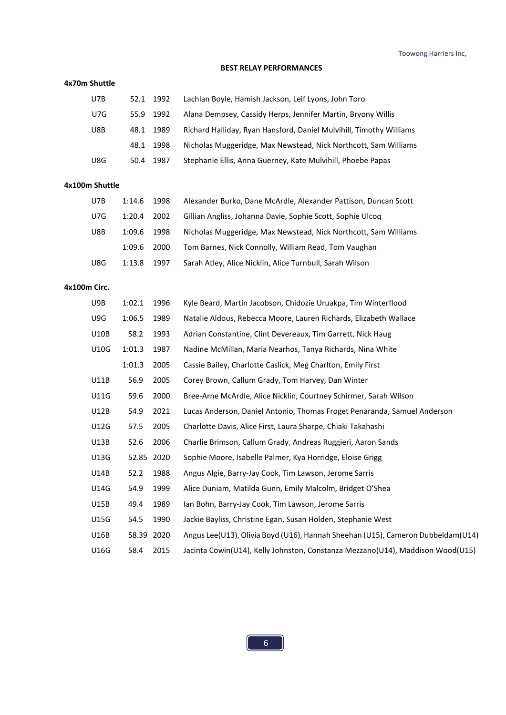#### **BEST RELAY PERFORMANCES**

#### **4x70m Shuttle**

| U7B |      | 52.1 1992 | Lachlan Boyle, Hamish Jackson, Leif Lyons, John Toro                |
|-----|------|-----------|---------------------------------------------------------------------|
| U7G |      | 55.9 1992 | Alana Dempsey, Cassidy Herps, Jennifer Martin, Bryony Willis        |
| U8B | 48.1 | 1989      | Richard Halliday, Ryan Hansford, Daniel Mulvihill, Timothy Williams |
|     | 48.1 | 1998      | Nicholas Muggeridge, Max Newstead, Nick Northcott, Sam Williams     |
| U8G | 50.4 | 1987      | Stephanie Ellis, Anna Guerney, Kate Mulvihill, Phoebe Papas         |

#### **4x100m Shuttle**

| U7B | 1:14.6 | 1998 | Alexander Burko, Dane McArdle, Alexander Pattison, Duncan Scott |
|-----|--------|------|-----------------------------------------------------------------|
| U7G | 1:20.4 | 2002 | Gillian Angliss, Johanna Davie, Sophie Scott, Sophie Ulcog      |
| U8B | 1:09.6 | 1998 | Nicholas Muggeridge, Max Newstead, Nick Northcott, Sam Williams |
|     | 1:09.6 | 2000 | Tom Barnes, Nick Connolly, William Read, Tom Vaughan            |
| U8G | 1:13.8 | 1997 | Sarah Atley, Alice Nicklin, Alice Turnbull, Sarah Wilson        |

## **4x100m Circ.**

| U9B         | 1:02.1 | 1996 | Kyle Beard, Martin Jacobson, Chidozie Uruakpa, Tim Winterflood                  |
|-------------|--------|------|---------------------------------------------------------------------------------|
| U9G         | 1:06.5 | 1989 | Natalie Aldous, Rebecca Moore, Lauren Richards, Elizabeth Wallace               |
| U10B        | 58.2   | 1993 | Adrian Constantine, Clint Devereaux, Tim Garrett, Nick Haug                     |
| U10G        | 1:01.3 | 1987 | Nadine McMillan, Maria Nearhos, Tanya Richards, Nina White                      |
|             | 1:01.3 | 2005 | Cassie Bailey, Charlotte Caslick, Meg Charlton, Emily First                     |
| U11B        | 56.9   | 2005 | Corey Brown, Callum Grady, Tom Harvey, Dan Winter                               |
| <b>U11G</b> | 59.6   | 2000 | Bree-Arne McArdle, Alice Nicklin, Courtney Schirmer, Sarah Wilson               |
| U12B        | 54.9   | 2021 | Lucas Anderson, Daniel Antonio, Thomas Froget Penaranda, Samuel Anderson        |
| U12G        | 57.5   | 2005 | Charlotte Davis, Alice First, Laura Sharpe, Chiaki Takahashi                    |
| U13B        | 52.6   | 2006 | Charlie Brimson, Callum Grady, Andreas Ruggieri, Aaron Sands                    |
| U13G        | 52.85  | 2020 | Sophie Moore, Isabelle Palmer, Kya Horridge, Eloise Grigg                       |
| U14B        | 52.2   | 1988 | Angus Algie, Barry-Jay Cook, Tim Lawson, Jerome Sarris                          |
| U14G        | 54.9   | 1999 | Alice Duniam, Matilda Gunn, Emily Malcolm, Bridget O'Shea                       |
| U15B        | 49.4   | 1989 | Ian Bohn, Barry-Jay Cook, Tim Lawson, Jerome Sarris                             |
| U15G        | 54.5   | 1990 | Jackie Bayliss, Christine Egan, Susan Holden, Stephanie West                    |
| U16B        | 58.39  | 2020 | Angus Lee(U13), Olivia Boyd (U16), Hannah Sheehan (U15), Cameron Dubbeldam(U14) |
| U16G        | 58.4   | 2015 | Jacinta Cowin(U14), Kelly Johnston, Constanza Mezzano(U14), Maddison Wood(U15)  |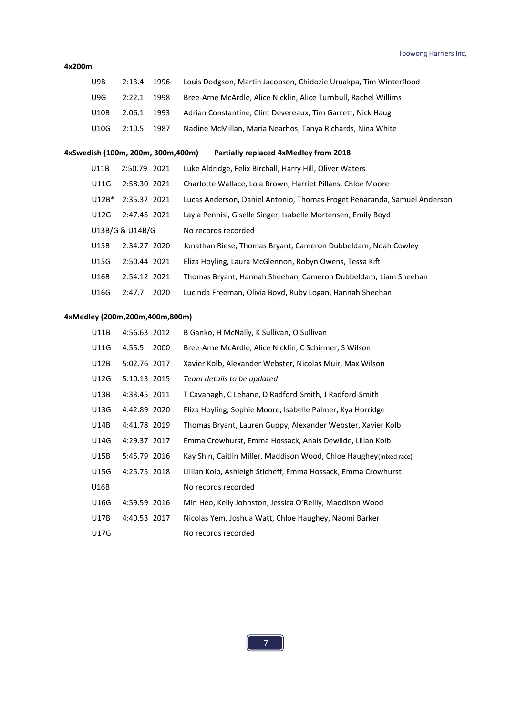#### **4x200m**

| U9B                               | 2:13.4          | 1996 | Louis Dodgson, Martin Jacobson, Chidozie Uruakpa, Tim Winterflood        |
|-----------------------------------|-----------------|------|--------------------------------------------------------------------------|
| U9G                               | 2:22.1          | 1998 | Bree-Arne McArdle, Alice Nicklin, Alice Turnbull, Rachel Willims         |
| U10B                              | 2:06.1          | 1993 | Adrian Constantine, Clint Devereaux, Tim Garrett, Nick Haug              |
| U10G                              | 2:10.5          | 1987 | Nadine McMillan, Maria Nearhos, Tanya Richards, Nina White               |
|                                   |                 |      |                                                                          |
| 4xSwedish (100m, 200m, 300m,400m) |                 |      | <b>Partially replaced 4xMedley from 2018</b>                             |
| U11B                              | 2:50.79 2021    |      | Luke Aldridge, Felix Birchall, Harry Hill, Oliver Waters                 |
| U11G                              | 2:58.30 2021    |      | Charlotte Wallace, Lola Brown, Harriet Pillans, Chloe Moore              |
| $U12B*$                           | 2:35.32 2021    |      | Lucas Anderson, Daniel Antonio, Thomas Froget Penaranda, Samuel Anderson |
| U12G                              | 2:47.45 2021    |      | Layla Pennisi, Giselle Singer, Isabelle Mortensen, Emily Boyd            |
|                                   | U13B/G & U14B/G |      | No records recorded                                                      |
| U15B                              | 2:34.27 2020    |      | Jonathan Riese, Thomas Bryant, Cameron Dubbeldam, Noah Cowley            |
| U15G                              | 2:50.44 2021    |      | Eliza Hoyling, Laura McGlennon, Robyn Owens, Tessa Kift                  |
| U16B                              | 2:54.12 2021    |      | Thomas Bryant, Hannah Sheehan, Cameron Dubbeldam, Liam Sheehan           |

# **4xMedley (200m,200m,400m,800m)**

| U11B        | 4:56.63 2012 |      | B Ganko, H McNally, K Sullivan, O Sullivan                          |
|-------------|--------------|------|---------------------------------------------------------------------|
| U11G        | 4:55.5       | 2000 | Bree-Arne McArdle, Alice Nicklin, C Schirmer, S Wilson              |
| U12B        | 5:02.76 2017 |      | Xavier Kolb, Alexander Webster, Nicolas Muir, Max Wilson            |
| U12G        | 5:10.13 2015 |      | Team details to be updated                                          |
| U13B        | 4:33.45 2011 |      | T Cavanagh, C Lehane, D Radford-Smith, J Radford-Smith              |
| U13G        | 4:42.89 2020 |      | Eliza Hoyling, Sophie Moore, Isabelle Palmer, Kya Horridge          |
| U14B        | 4:41.78 2019 |      | Thomas Bryant, Lauren Guppy, Alexander Webster, Xavier Kolb         |
| U14G        | 4:29.37 2017 |      | Emma Crowhurst, Emma Hossack, Anais Dewilde, Lillan Kolb            |
| U15B        | 5:45.79 2016 |      | Kay Shin, Caitlin Miller, Maddison Wood, Chloe Haughey (mixed race) |
| U15G        | 4:25.75 2018 |      | Lillian Kolb, Ashleigh Sticheff, Emma Hossack, Emma Crowhurst       |
| U16B        |              |      | No records recorded                                                 |
| U16G        | 4:59.59 2016 |      | Min Heo, Kelly Johnston, Jessica O'Reilly, Maddison Wood            |
| U17B        | 4:40.53 2017 |      | Nicolas Yem, Joshua Watt, Chloe Haughey, Naomi Barker               |
| <b>U17G</b> |              |      | No records recorded                                                 |

U16G 2:47.7 2020 Lucinda Freeman, Olivia Boyd, Ruby Logan, Hannah Sheehan